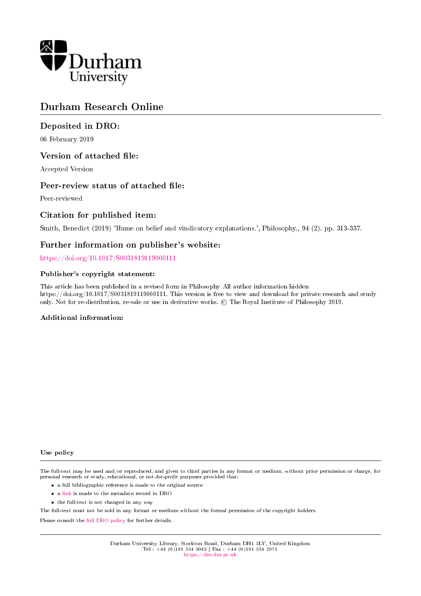

# Durham Research Online

# Deposited in DRO:

06 February 2019

# Version of attached file:

Accepted Version

# Peer-review status of attached file:

Peer-reviewed

# Citation for published item:

Smith, Benedict (2019) 'Hume on belief and vindicatory explanations.', Philosophy., 94 (2). pp. 313-337.

### Further information on publisher's website:

<https://doi.org/10.1017/S0031819119000111>

### Publisher's copyright statement:

This article has been published in a revised form in Philosophy All author information hidden https://doi.org/10.1017/S0031819119000111. This version is free to view and download for private research and study only. Not for re-distribution, re-sale or use in derivative works. © The Royal Institute of Philosophy 2019.

### Additional information:

#### Use policy

The full-text may be used and/or reproduced, and given to third parties in any format or medium, without prior permission or charge, for personal research or study, educational, or not-for-profit purposes provided that:

- a full bibliographic reference is made to the original source
- a [link](http://dro.dur.ac.uk/27376/) is made to the metadata record in DRO
- the full-text is not changed in any way

The full-text must not be sold in any format or medium without the formal permission of the copyright holders.

Please consult the [full DRO policy](https://dro.dur.ac.uk/policies/usepolicy.pdf) for further details.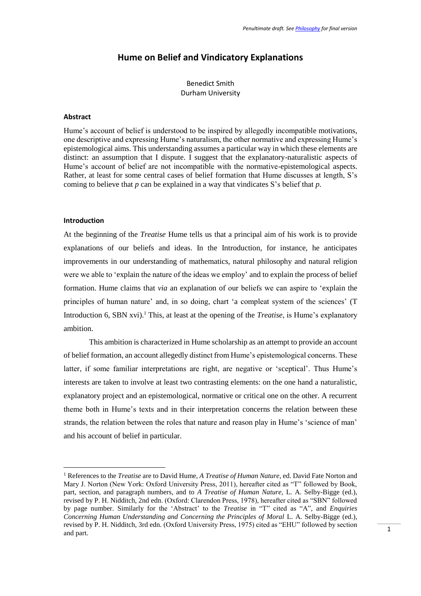# **Hume on Belief and Vindicatory Explanations**

### Benedict Smith Durham University

#### **Abstract**

Hume's account of belief is understood to be inspired by allegedly incompatible motivations, one descriptive and expressing Hume's naturalism, the other normative and expressing Hume's epistemological aims. This understanding assumes a particular way in which these elements are distinct: an assumption that I dispute. I suggest that the explanatory-naturalistic aspects of Hume's account of belief are not incompatible with the normative-epistemological aspects. Rather, at least for some central cases of belief formation that Hume discusses at length, S's coming to believe that *p* can be explained in a way that vindicates S's belief that *p*.

#### **Introduction**

<u>.</u>

At the beginning of the *Treatise* Hume tells us that a principal aim of his work is to provide explanations of our beliefs and ideas. In the Introduction, for instance, he anticipates improvements in our understanding of mathematics, natural philosophy and natural religion were we able to 'explain the nature of the ideas we employ' and to explain the process of belief formation. Hume claims that *via* an explanation of our beliefs we can aspire to 'explain the principles of human nature' and, in so doing, chart 'a compleat system of the sciences' (T Introduction 6, SBN xvi).<sup>1</sup> This, at least at the opening of the *Treatise*, is Hume's explanatory ambition.

This ambition is characterized in Hume scholarship as an attempt to provide an account of belief formation, an account allegedly distinct from Hume's epistemological concerns. These latter, if some familiar interpretations are right, are negative or 'sceptical'. Thus Hume's interests are taken to involve at least two contrasting elements: on the one hand a naturalistic, explanatory project and an epistemological, normative or critical one on the other. A recurrent theme both in Hume's texts and in their interpretation concerns the relation between these strands, the relation between the roles that nature and reason play in Hume's 'science of man' and his account of belief in particular.

<sup>1</sup> References to the *Treatise* are to David Hume, *A Treatise of Human Nature*, ed. David Fate Norton and Mary J. Norton (New York: Oxford University Press, 2011), hereafter cited as "T" followed by Book, part, section, and paragraph numbers, and to *A Treatise of Human Nature*, L. A. Selby-Bigge (ed.), revised by P. H. Nidditch, 2nd edn. (Oxford: Clarendon Press, 1978), hereafter cited as "SBN" followed by page number. Similarly for the 'Abstract' to the *Treatise* in "T" cited as "A", and *Enquiries Concerning Human Understanding and Concerning the Principles of Moral L. A. Selby-Bigge (ed.),* revised by P. H. Nidditch, 3rd edn. (Oxford University Press, 1975) cited as "EHU" followed by section and part.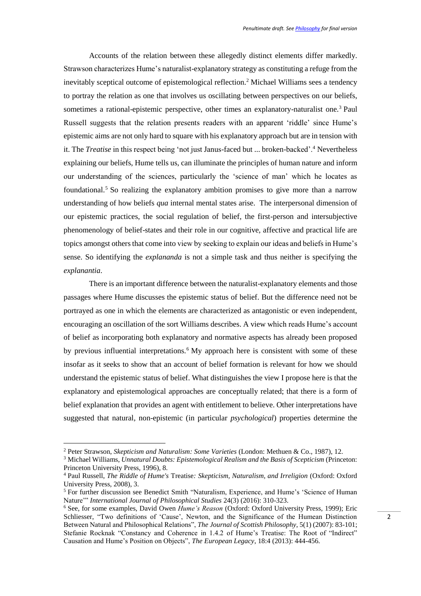Accounts of the relation between these allegedly distinct elements differ markedly. Strawson characterizes Hume's naturalist-explanatory strategy as constituting a refuge from the inevitably sceptical outcome of epistemological reflection.<sup>2</sup> Michael Williams sees a tendency to portray the relation as one that involves us oscillating between perspectives on our beliefs, sometimes a rational-epistemic perspective, other times an explanatory-naturalist one.<sup>3</sup> Paul Russell suggests that the relation presents readers with an apparent 'riddle' since Hume's epistemic aims are not only hard to square with his explanatory approach but are in tension with it. The *Treatise* in this respect being 'not just Janus-faced but ... broken-backed'.<sup>4</sup> Nevertheless explaining our beliefs, Hume tells us, can illuminate the principles of human nature and inform our understanding of the sciences, particularly the 'science of man' which he locates as foundational.<sup>5</sup> So realizing the explanatory ambition promises to give more than a narrow understanding of how beliefs *qua* internal mental states arise. The interpersonal dimension of our epistemic practices, the social regulation of belief, the first-person and intersubjective phenomenology of belief-states and their role in our cognitive, affective and practical life are topics amongst others that come into view by seeking to explain our ideas and beliefs in Hume's sense. So identifying the *explananda* is not a simple task and thus neither is specifying the *explanantia*.

There is an important difference between the naturalist-explanatory elements and those passages where Hume discusses the epistemic status of belief. But the difference need not be portrayed as one in which the elements are characterized as antagonistic or even independent, encouraging an oscillation of the sort Williams describes. A view which reads Hume's account of belief as incorporating both explanatory and normative aspects has already been proposed by previous influential interpretations.<sup>6</sup> My approach here is consistent with some of these insofar as it seeks to show that an account of belief formation is relevant for how we should understand the epistemic status of belief. What distinguishes the view I propose here is that the explanatory and epistemological approaches are conceptually related; that there is a form of belief explanation that provides an agent with entitlement to believe. Other interpretations have suggested that natural, non-epistemic (in particular *psychological*) properties determine the

<sup>2</sup> Peter Strawson, *Skepticism and Naturalism: Some Varieties* (London: Methuen & Co., 1987), 12.

<sup>3</sup> Michael Williams, *Unnatural Doubts: Epistemological Realism and the Basis of Scepticism* (Princeton: Princeton University Press, 1996), 8.

<sup>4</sup> Paul Russell, *The Riddle of Hume's* Treatise*: Skepticism, Naturalism, and Irreligion* (Oxford: Oxford University Press, 2008), 3.

<sup>5</sup> For further discussion see Benedict Smith "Naturalism, Experience, and Hume's 'Science of Human Nature'" *International Journal of Philosophical Studies* 24(3) (2016): 310-323.

<sup>6</sup> See, for some examples, David Owen *Hume's Reason* (Oxford: Oxford University Press, 1999); Eric Schliesser, "Two definitions of 'Cause', Newton, and the Significance of the Humean Distinction Between Natural and Philosophical Relations", *The Journal of Scottish Philosophy*, 5(1) (2007): 83-101; Stefanie Rocknak "Constancy and Coherence in 1.4.2 of Hume's Treatise: The Root of "Indirect" Causation and Hume's Position on Objects", *The European Legacy*, 18:4 (2013): 444-456.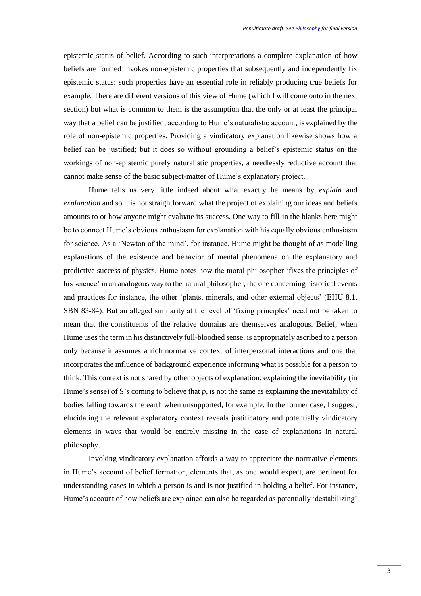epistemic status of belief. According to such interpretations a complete explanation of how beliefs are formed invokes non-epistemic properties that subsequently and independently fix epistemic status: such properties have an essential role in reliably producing true beliefs for example. There are different versions of this view of Hume (which I will come onto in the next section) but what is common to them is the assumption that the only or at least the principal way that a belief can be justified, according to Hume's naturalistic account, is explained by the role of non-epistemic properties. Providing a vindicatory explanation likewise shows how a belief can be justified; but it does so without grounding a belief's epistemic status on the workings of non-epistemic purely naturalistic properties, a needlessly reductive account that cannot make sense of the basic subject-matter of Hume's explanatory project.

Hume tells us very little indeed about what exactly he means by *explain* and *explanation* and so it is not straightforward what the project of explaining our ideas and beliefs amounts to or how anyone might evaluate its success. One way to fill-in the blanks here might be to connect Hume's obvious enthusiasm for explanation with his equally obvious enthusiasm for science. As a 'Newton of the mind', for instance, Hume might be thought of as modelling explanations of the existence and behavior of mental phenomena on the explanatory and predictive success of physics. Hume notes how the moral philosopher 'fixes the principles of his science' in an analogous way to the natural philosopher, the one concerning historical events and practices for instance, the other 'plants, minerals, and other external objects' (EHU 8.1, SBN 83-84). But an alleged similarity at the level of 'fixing principles' need not be taken to mean that the constituents of the relative domains are themselves analogous. Belief, when Hume uses the term in his distinctively full-bloodied sense, is appropriately ascribed to a person only because it assumes a rich normative context of interpersonal interactions and one that incorporates the influence of background experience informing what is possible for a person to think. This context is not shared by other objects of explanation: explaining the inevitability (in Hume's sense) of S's coming to believe that *p*, is not the same as explaining the inevitability of bodies falling towards the earth when unsupported, for example. In the former case, I suggest, elucidating the relevant explanatory context reveals justificatory and potentially vindicatory elements in ways that would be entirely missing in the case of explanations in natural philosophy.

Invoking vindicatory explanation affords a way to appreciate the normative elements in Hume's account of belief formation, elements that, as one would expect, are pertinent for understanding cases in which a person is and is not justified in holding a belief. For instance, Hume's account of how beliefs are explained can also be regarded as potentially 'destabilizing'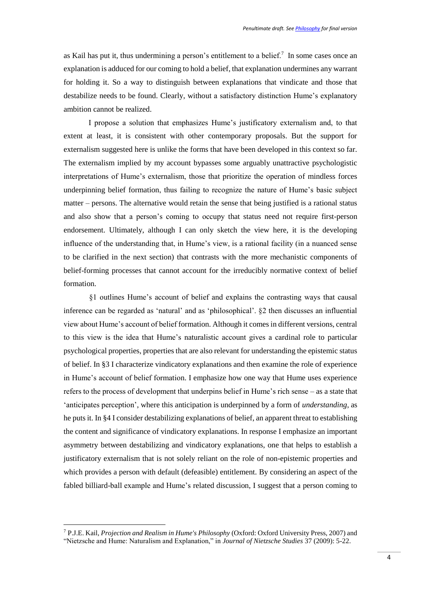as Kail has put it, thus undermining a person's entitlement to a belief.<sup>7</sup> In some cases once an explanation is adduced for our coming to hold a belief, that explanation undermines any warrant for holding it. So a way to distinguish between explanations that vindicate and those that destabilize needs to be found. Clearly, without a satisfactory distinction Hume's explanatory ambition cannot be realized.

I propose a solution that emphasizes Hume's justificatory externalism and, to that extent at least, it is consistent with other contemporary proposals. But the support for externalism suggested here is unlike the forms that have been developed in this context so far. The externalism implied by my account bypasses some arguably unattractive psychologistic interpretations of Hume's externalism, those that prioritize the operation of mindless forces underpinning belief formation, thus failing to recognize the nature of Hume's basic subject matter – persons. The alternative would retain the sense that being justified is a rational status and also show that a person's coming to occupy that status need not require first-person endorsement. Ultimately, although I can only sketch the view here, it is the developing influence of the understanding that, in Hume's view, is a rational facility (in a nuanced sense to be clarified in the next section) that contrasts with the more mechanistic components of belief-forming processes that cannot account for the irreducibly normative context of belief formation.

§1 outlines Hume's account of belief and explains the contrasting ways that causal inference can be regarded as 'natural' and as 'philosophical'. §2 then discusses an influential view about Hume's account of belief formation. Although it comes in different versions, central to this view is the idea that Hume's naturalistic account gives a cardinal role to particular psychological properties, properties that are also relevant for understanding the epistemic status of belief. In §3 I characterize vindicatory explanations and then examine the role of experience in Hume's account of belief formation. I emphasize how one way that Hume uses experience refers to the process of development that underpins belief in Hume's rich sense – as a state that 'anticipates perception', where this anticipation is underpinned by a form of *understanding*, as he puts it. In §4 I consider destabilizing explanations of belief, an apparent threat to establishing the content and significance of vindicatory explanations. In response I emphasize an important asymmetry between destabilizing and vindicatory explanations, one that helps to establish a justificatory externalism that is not solely reliant on the role of non-epistemic properties and which provides a person with default (defeasible) entitlement. By considering an aspect of the fabled billiard-ball example and Hume's related discussion, I suggest that a person coming to

-

<sup>7</sup> P.J.E. Kail, *Projection and Realism in Hume's Philosophy* (Oxford: Oxford University Press, 2007) and "Nietzsche and Hume: Naturalism and Explanation," in *Journal of Nietzsche Studies* 37 (2009): 5-22.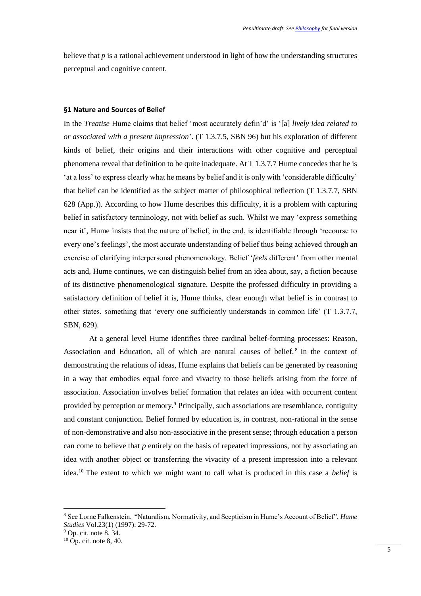believe that *p* is a rational achievement understood in light of how the understanding structures perceptual and cognitive content.

### **§1 Nature and Sources of Belief**

In the *Treatise* Hume claims that belief 'most accurately defin'd' is '[a] *lively idea related to or associated with a present impression*'. (T 1.3.7.5, SBN 96) but his exploration of different kinds of belief, their origins and their interactions with other cognitive and perceptual phenomena reveal that definition to be quite inadequate. At T 1.3.7.7 Hume concedes that he is 'at a loss' to express clearly what he means by belief and it is only with 'considerable difficulty' that belief can be identified as the subject matter of philosophical reflection (T 1.3.7.7, SBN 628 (App.)). According to how Hume describes this difficulty, it is a problem with capturing belief in satisfactory terminology, not with belief as such. Whilst we may 'express something near it', Hume insists that the nature of belief, in the end, is identifiable through 'recourse to every one's feelings', the most accurate understanding of belief thus being achieved through an exercise of clarifying interpersonal phenomenology. Belief '*feels* different' from other mental acts and, Hume continues, we can distinguish belief from an idea about, say, a fiction because of its distinctive phenomenological signature. Despite the professed difficulty in providing a satisfactory definition of belief it is, Hume thinks, clear enough what belief is in contrast to other states, something that 'every one sufficiently understands in common life' (T 1.3.7.7, SBN, 629).

At a general level Hume identifies three cardinal belief-forming processes: Reason, Association and Education, all of which are natural causes of belief. <sup>8</sup> In the context of demonstrating the relations of ideas, Hume explains that beliefs can be generated by reasoning in a way that embodies equal force and vivacity to those beliefs arising from the force of association. Association involves belief formation that relates an idea with occurrent content provided by perception or memory.<sup>9</sup> Principally, such associations are resemblance, contiguity and constant conjunction. Belief formed by education is, in contrast, non-rational in the sense of non-demonstrative and also non-associative in the present sense; through education a person can come to believe that *p* entirely on the basis of repeated impressions, not by associating an idea with another object or transferring the vivacity of a present impression into a relevant idea.<sup>10</sup> The extent to which we might want to call what is produced in this case a *belief* is

<sup>8</sup> See Lorne Falkenstein, "Naturalism, Normativity, and Scepticism in Hume's Account of Belief", *Hume Studies* Vol.23(1) (1997): 29-72.

 $9$  Op. cit. note 8, 34.

 $10 \text{ Op.}$  cit. note 8, 40.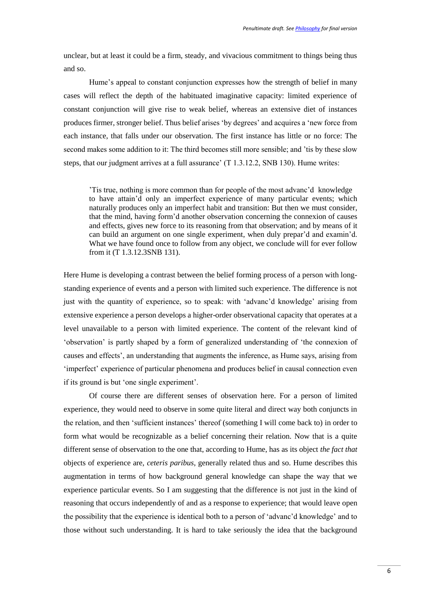unclear, but at least it could be a firm, steady, and vivacious commitment to things being thus and so.

Hume's appeal to constant conjunction expresses how the strength of belief in many cases will reflect the depth of the habituated imaginative capacity: limited experience of constant conjunction will give rise to weak belief, whereas an extensive diet of instances produces firmer, stronger belief. Thus belief arises 'by degrees' and acquires a 'new force from each instance, that falls under our observation. The first instance has little or no force: The second makes some addition to it: The third becomes still more sensible; and 'tis by these slow steps, that our judgment arrives at a full assurance' (T 1.3.12.2, SNB 130). Hume writes:

'Tis true, nothing is more common than for people of the most advanc'd knowledge to have attain'd only an imperfect experience of many particular events; which naturally produces only an imperfect habit and transition: But then we must consider, that the mind, having form'd another observation concerning the connexion of causes and effects, gives new force to its reasoning from that observation; and by means of it can build an argument on one single experiment, when duly prepar'd and examin'd. What we have found once to follow from any object, we conclude will for ever follow from it (T 1.3.12.3SNB 131).

Here Hume is developing a contrast between the belief forming process of a person with longstanding experience of events and a person with limited such experience. The difference is not just with the quantity of experience, so to speak: with 'advanc'd knowledge' arising from extensive experience a person develops a higher-order observational capacity that operates at a level unavailable to a person with limited experience. The content of the relevant kind of 'observation' is partly shaped by a form of generalized understanding of 'the connexion of causes and effects', an understanding that augments the inference, as Hume says, arising from 'imperfect' experience of particular phenomena and produces belief in causal connection even if its ground is but 'one single experiment'.

Of course there are different senses of observation here. For a person of limited experience, they would need to observe in some quite literal and direct way both conjuncts in the relation, and then 'sufficient instances' thereof (something I will come back to) in order to form what would be recognizable as a belief concerning their relation. Now that is a quite different sense of observation to the one that, according to Hume, has as its object *the fact that* objects of experience are, *ceteris paribus*, generally related thus and so. Hume describes this augmentation in terms of how background general knowledge can shape the way that we experience particular events. So I am suggesting that the difference is not just in the kind of reasoning that occurs independently of and as a response to experience; that would leave open the possibility that the experience is identical both to a person of 'advanc'd knowledge' and to those without such understanding. It is hard to take seriously the idea that the background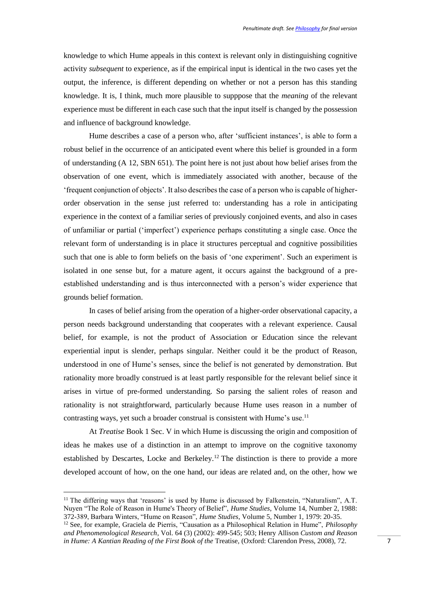knowledge to which Hume appeals in this context is relevant only in distinguishing cognitive activity *subsequent* to experience, as if the empirical input is identical in the two cases yet the output, the inference, is different depending on whether or not a person has this standing knowledge. It is, I think, much more plausible to supppose that the *meaning* of the relevant experience must be different in each case such that the input itself is changed by the possession and influence of background knowledge.

Hume describes a case of a person who, after 'sufficient instances', is able to form a robust belief in the occurrence of an anticipated event where this belief is grounded in a form of understanding (A 12, SBN 651). The point here is not just about how belief arises from the observation of one event, which is immediately associated with another, because of the 'frequent conjunction of objects'. It also describes the case of a person who is capable of higherorder observation in the sense just referred to: understanding has a role in anticipating experience in the context of a familiar series of previously conjoined events, and also in cases of unfamiliar or partial ('imperfect') experience perhaps constituting a single case. Once the relevant form of understanding is in place it structures perceptual and cognitive possibilities such that one is able to form beliefs on the basis of 'one experiment'. Such an experiment is isolated in one sense but, for a mature agent, it occurs against the background of a preestablished understanding and is thus interconnected with a person's wider experience that grounds belief formation.

In cases of belief arising from the operation of a higher-order observational capacity, a person needs background understanding that cooperates with a relevant experience. Causal belief, for example, is not the product of Association or Education since the relevant experiential input is slender, perhaps singular. Neither could it be the product of Reason, understood in one of Hume's senses, since the belief is not generated by demonstration. But rationality more broadly construed is at least partly responsible for the relevant belief since it arises in virtue of pre-formed understanding. So parsing the salient roles of reason and rationality is not straightforward, particularly because Hume uses reason in a number of contrasting ways, yet such a broader construal is consistent with Hume's use.<sup>11</sup>

At *Treatise* Book 1 Sec. V in which Hume is discussing the origin and composition of ideas he makes use of a distinction in an attempt to improve on the cognitive taxonomy established by Descartes, Locke and Berkeley.<sup>12</sup> The distinction is there to provide a more developed account of how, on the one hand, our ideas are related and, on the other, how we

 $11$  The differing ways that 'reasons' is used by Hume is discussed by Falkenstein, "Naturalism", A.T. Nuyen "The Role of Reason in Hume's Theory of Belief", *Hume Studies*, Volume 14, Number 2, 1988: 372-389, Barbara Winters, "Hume on Reason", *Hume Studies*, Volume 5, Number 1, 1979: 20-35.

<sup>12</sup> See, for example, Graciela de Pierris, "Causation as a Philosophical Relation in Hume", *Philosophy and Phenomenological Research*, Vol. 64 (3) (2002): 499-545; 503; Henry Allison *Custom and Reason in Hume: A Kantian Reading of the First Book of the* Treatise, (Oxford: Clarendon Press, 2008), 72.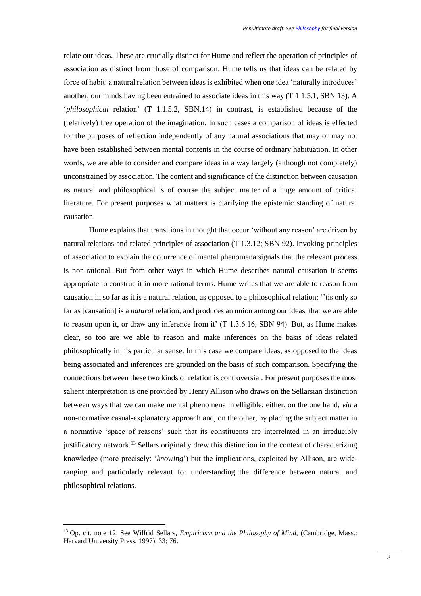relate our ideas. These are crucially distinct for Hume and reflect the operation of principles of association as distinct from those of comparison. Hume tells us that ideas can be related by force of habit: a natural relation between ideas is exhibited when one idea 'naturally introduces' another, our minds having been entrained to associate ideas in this way (T 1.1.5.1, SBN 13). A '*philosophical* relation' (T 1.1.5.2, SBN,14) in contrast, is established because of the (relatively) free operation of the imagination. In such cases a comparison of ideas is effected for the purposes of reflection independently of any natural associations that may or may not have been established between mental contents in the course of ordinary habituation. In other words, we are able to consider and compare ideas in a way largely (although not completely) unconstrained by association. The content and significance of the distinction between causation as natural and philosophical is of course the subject matter of a huge amount of critical literature. For present purposes what matters is clarifying the epistemic standing of natural causation.

Hume explains that transitions in thought that occur 'without any reason' are driven by natural relations and related principles of association (T 1.3.12; SBN 92). Invoking principles of association to explain the occurrence of mental phenomena signals that the relevant process is non-rational. But from other ways in which Hume describes natural causation it seems appropriate to construe it in more rational terms. Hume writes that we are able to reason from causation in so far as it is a natural relation, as opposed to a philosophical relation: ''tis only so far as [causation] is a *natural* relation, and produces an union among our ideas, that we are able to reason upon it, or draw any inference from it' (T 1.3.6.16, SBN 94). But, as Hume makes clear, so too are we able to reason and make inferences on the basis of ideas related philosophically in his particular sense. In this case we compare ideas, as opposed to the ideas being associated and inferences are grounded on the basis of such comparison. Specifying the connections between these two kinds of relation is controversial. For present purposes the most salient interpretation is one provided by Henry Allison who draws on the Sellarsian distinction between ways that we can make mental phenomena intelligible: either, on the one hand, *via* a non-normative casual-explanatory approach and, on the other, by placing the subject matter in a normative 'space of reasons' such that its constituents are interrelated in an irreducibly justificatory network.<sup>13</sup> Sellars originally drew this distinction in the context of characterizing knowledge (more precisely: '*knowing*') but the implications, exploited by Allison, are wideranging and particularly relevant for understanding the difference between natural and philosophical relations.

-

<sup>13</sup> Op. cit. note 12. See Wilfrid Sellars, *Empiricism and the Philosophy of Mind,* (Cambridge, Mass.: Harvard University Press, 1997), 33; 76.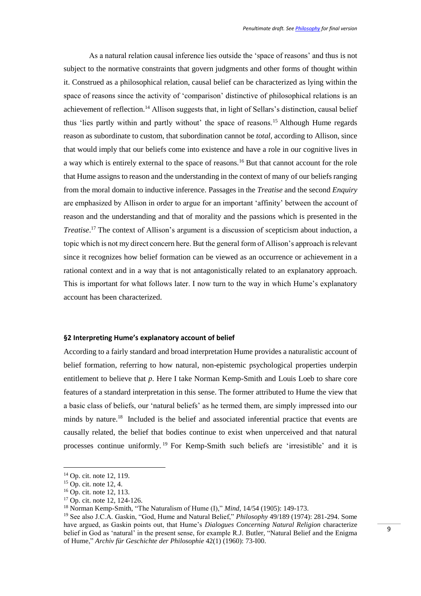As a natural relation causal inference lies outside the 'space of reasons' and thus is not subject to the normative constraints that govern judgments and other forms of thought within it. Construed as a philosophical relation, causal belief can be characterized as lying within the space of reasons since the activity of 'comparison' distinctive of philosophical relations is an achievement of reflection.<sup>14</sup> Allison suggests that, in light of Sellars's distinction, causal belief thus 'lies partly within and partly without' the space of reasons.<sup>15</sup> Although Hume regards reason as subordinate to custom, that subordination cannot be *total*, according to Allison, since that would imply that our beliefs come into existence and have a role in our cognitive lives in a way which is entirely external to the space of reasons.<sup>16</sup> But that cannot account for the role that Hume assigns to reason and the understanding in the context of many of our beliefs ranging from the moral domain to inductive inference. Passages in the *Treatise* and the second *Enquiry* are emphasized by Allison in order to argue for an important 'affinity' between the account of reason and the understanding and that of morality and the passions which is presented in the *Treatise*. <sup>17</sup> The context of Allison's argument is a discussion of scepticism about induction, a topic which is not my direct concern here. But the general form of Allison's approach is relevant since it recognizes how belief formation can be viewed as an occurrence or achievement in a rational context and in a way that is not antagonistically related to an explanatory approach. This is important for what follows later. I now turn to the way in which Hume's explanatory account has been characterized.

### **§2 Interpreting Hume's explanatory account of belief**

According to a fairly standard and broad interpretation Hume provides a naturalistic account of belief formation, referring to how natural, non-epistemic psychological properties underpin entitlement to believe that *p*. Here I take Norman Kemp-Smith and Louis Loeb to share core features of a standard interpretation in this sense. The former attributed to Hume the view that a basic class of beliefs, our 'natural beliefs' as he termed them, are simply impressed into our minds by nature.<sup>18</sup> Included is the belief and associated inferential practice that events are causally related, the belief that bodies continue to exist when unperceived and that natural processes continue uniformly. <sup>19</sup> For Kemp-Smith such beliefs are 'irresistible' and it is

<sup>&</sup>lt;sup>14</sup> Op. cit. note 12, 119.

 $15$  Op. cit. note 12, 4.

 $16$  Op. cit. note 12, 113.

<sup>17</sup> Op. cit. note 12, 124-126.

<sup>18</sup> Norman Kemp-Smith, "The Naturalism of Hume (I)," *Mind,* 14/54 (1905): 149-173.

<sup>19</sup> See also J.C.A. Gaskin, "God, Hume and Natural Belief," *Philosophy* 49/189 (1974): 281-294. Some have argued, as Gaskin points out, that Hume's *Dialogues Concerning Natural Religion* characterize belief in God as 'natural' in the present sense, for example R.J. Butler, "Natural Belief and the Enigma of Hume," *Archiv für Geschichte der Philosophie* 42(1) (1960): 73-I00.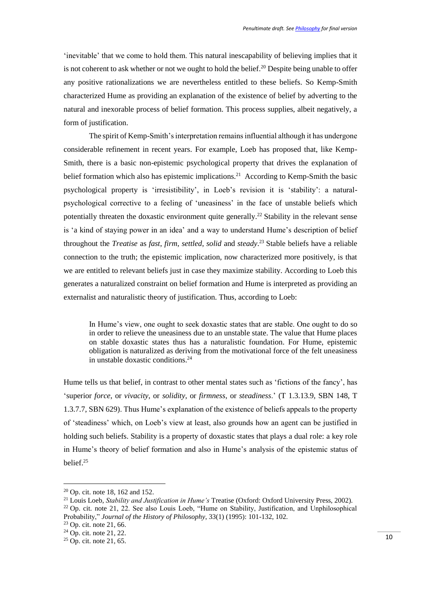'inevitable' that we come to hold them. This natural inescapability of believing implies that it is not coherent to ask whether or not we ought to hold the belief.<sup>20</sup> Despite being unable to offer any positive rationalizations we are nevertheless entitled to these beliefs. So Kemp-Smith characterized Hume as providing an explanation of the existence of belief by adverting to the natural and inexorable process of belief formation. This process supplies, albeit negatively, a form of justification.

The spirit of Kemp-Smith's interpretation remains influential although it has undergone considerable refinement in recent years. For example, Loeb has proposed that, like Kemp-Smith, there is a basic non-epistemic psychological property that drives the explanation of belief formation which also has epistemic implications.<sup>21</sup> According to Kemp-Smith the basic psychological property is 'irresistibility', in Loeb's revision it is 'stability': a naturalpsychological corrective to a feeling of 'uneasiness' in the face of unstable beliefs which potentially threaten the doxastic environment quite generally.<sup>22</sup> Stability in the relevant sense is 'a kind of staying power in an idea' and a way to understand Hume's description of belief throughout the *Treatise* as *fast*, *firm*, *settled*, *solid* and *steady*. <sup>23</sup> Stable beliefs have a reliable connection to the truth; the epistemic implication, now characterized more positively, is that we are entitled to relevant beliefs just in case they maximize stability. According to Loeb this generates a naturalized constraint on belief formation and Hume is interpreted as providing an externalist and naturalistic theory of justification. Thus, according to Loeb:

In Hume's view, one ought to seek doxastic states that are stable. One ought to do so in order to relieve the uneasiness due to an unstable state. The value that Hume places on stable doxastic states thus has a naturalistic foundation. For Hume, epistemic obligation is naturalized as deriving from the motivational force of the felt uneasiness in unstable doxastic conditions.<sup>24</sup>

Hume tells us that belief, in contrast to other mental states such as 'fictions of the fancy', has 'superior *force*, or *vivacity*, or *solidity*, or *firmness*, or *steadiness*.' (T 1.3.13.9, SBN 148, T 1.3.7.7, SBN 629). Thus Hume's explanation of the existence of beliefs appeals to the property of 'steadiness' which, on Loeb's view at least, also grounds how an agent can be justified in holding such beliefs. Stability is a property of doxastic states that plays a dual role: a key role in Hume's theory of belief formation and also in Hume's analysis of the epistemic status of belief.<sup>25</sup>

<sup>21</sup> Louis Loeb, *Stability and Justification in Hume's* Treatise (Oxford: Oxford University Press, 2002). <sup>22</sup> Op. cit. note 21, 22. See also Louis Loeb, "Hume on Stability, Justification, and Unphilosophical Probability," *Journal of the History of Philosophy*, 33(1) (1995): 101-132, 102.

<sup>23</sup> Op. cit. note 21, 66.

 $20$  Op. cit. note 18, 162 and 152.

<sup>24</sup> Op. cit. note 21, 22.

 $25$  Op. cit. note 21, 65.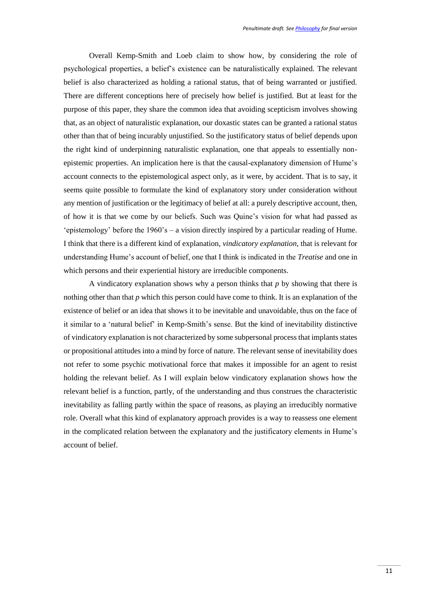Overall Kemp-Smith and Loeb claim to show how, by considering the role of psychological properties, a belief's existence can be naturalistically explained. The relevant belief is also characterized as holding a rational status, that of being warranted or justified. There are different conceptions here of precisely how belief is justified. But at least for the purpose of this paper, they share the common idea that avoiding scepticism involves showing that, as an object of naturalistic explanation, our doxastic states can be granted a rational status other than that of being incurably unjustified. So the justificatory status of belief depends upon the right kind of underpinning naturalistic explanation, one that appeals to essentially nonepistemic properties. An implication here is that the causal-explanatory dimension of Hume's account connects to the epistemological aspect only, as it were, by accident. That is to say, it seems quite possible to formulate the kind of explanatory story under consideration without any mention of justification or the legitimacy of belief at all: a purely descriptive account, then, of how it is that we come by our beliefs. Such was Quine's vision for what had passed as 'epistemology' before the 1960's – a vision directly inspired by a particular reading of Hume. I think that there is a different kind of explanation, *vindicatory explanation,* that is relevant for understanding Hume's account of belief, one that I think is indicated in the *Treatise* and one in which persons and their experiential history are irreducible components.

A vindicatory explanation shows why a person thinks that *p* by showing that there is nothing other than that *p* which this person could have come to think. It is an explanation of the existence of belief or an idea that shows it to be inevitable and unavoidable, thus on the face of it similar to a 'natural belief' in Kemp-Smith's sense. But the kind of inevitability distinctive of vindicatory explanation is not characterized by some subpersonal process that implants states or propositional attitudes into a mind by force of nature. The relevant sense of inevitability does not refer to some psychic motivational force that makes it impossible for an agent to resist holding the relevant belief. As I will explain below vindicatory explanation shows how the relevant belief is a function, partly, of the understanding and thus construes the characteristic inevitability as falling partly within the space of reasons, as playing an irreducibly normative role. Overall what this kind of explanatory approach provides is a way to reassess one element in the complicated relation between the explanatory and the justificatory elements in Hume's account of belief.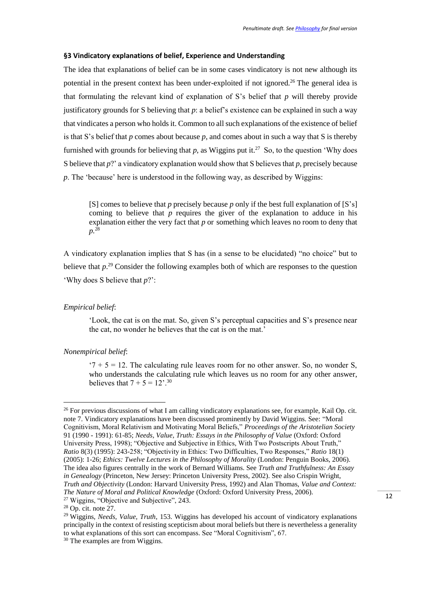### **§3 Vindicatory explanations of belief, Experience and Understanding**

The idea that explanations of belief can be in some cases vindicatory is not new although its potential in the present context has been under-exploited if not ignored.<sup>26</sup> The general idea is that formulating the relevant kind of explanation of S's belief that *p* will thereby provide justificatory grounds for S believing that *p*: a belief's existence can be explained in such a way that vindicates a person who holds it. Common to all such explanations of the existence of belief is that S's belief that *p* comes about because *p*, and comes about in such a way that S is thereby furnished with grounds for believing that  $p$ , as Wiggins put it.<sup>27</sup> So, to the question 'Why does S believe that *p*?' a vindicatory explanation would show that S believes that *p*, precisely because *p*. The 'because' here is understood in the following way, as described by Wiggins:

[S] comes to believe that *p* precisely because *p* only if the best full explanation of [S's] coming to believe that *p* requires the giver of the explanation to adduce in his explanation either the very fact that *p* or something which leaves no room to deny that *p.*<sup>28</sup>

A vindicatory explanation implies that S has (in a sense to be elucidated) "no choice" but to believe that  $p^{29}$  Consider the following examples both of which are responses to the question 'Why does S believe that *p*?':

### *Empirical belief*:

'Look, the cat is on the mat. So, given S's perceptual capacities and S's presence near the cat, no wonder he believes that the cat is on the mat.'

### *Nonempirical belief*:

-

 $\gamma$  + 5 = 12. The calculating rule leaves room for no other answer. So, no wonder S, who understands the calculating rule which leaves us no room for any other answer, believes that  $7 + 5 = 12$ <sup>'30</sup>

<sup>&</sup>lt;sup>26</sup> For previous discussions of what I am calling vindicatory explanations see, for example, Kail Op. cit. note 7. Vindicatory explanations have been discussed prominently by David Wiggins. See: "Moral Cognitivism, Moral Relativism and Motivating Moral Beliefs," *Proceedings of the Aristotelian Society* 91 (1990 - 1991): 61-85; *Needs, Value, Truth: Essays in the Philosophy of Value* (Oxford: Oxford University Press, 1998); "Objective and Subjective in Ethics, With Two Postscripts About Truth," *Ratio* 8(3) (1995): 243-258; "Objectivity in Ethics: Two Difficulties, Two Responses," *Ratio* 18(1) (2005): 1-26; *Ethics: Twelve Lectures in the Philosophy of Morality* (London: Penguin Books, 2006). The idea also figures centrally in the work of Bernard Williams. See *Truth and Truthfulness: An Essay in Genealogy* (Princeton, New Jersey: Princeton University Press, 2002). See also Crispin Wright, *Truth and Objectivity* (London: Harvard University Press, 1992) and Alan Thomas, *Value and Context: The Nature of Moral and Political Knowledge* (Oxford: Oxford University Press, 2006).

<sup>&</sup>lt;sup>27</sup> Wiggins, "Objective and Subjective", 243.

<sup>28</sup> Op. cit. note 27.

<sup>29</sup> Wiggins, *Needs, Value, Truth*, 153. Wiggins has developed his account of vindicatory explanations principally in the context of resisting scepticism about moral beliefs but there is nevertheless a generality to what explanations of this sort can encompass. See "Moral Cognitivism", 67.

<sup>30</sup> The examples are from Wiggins.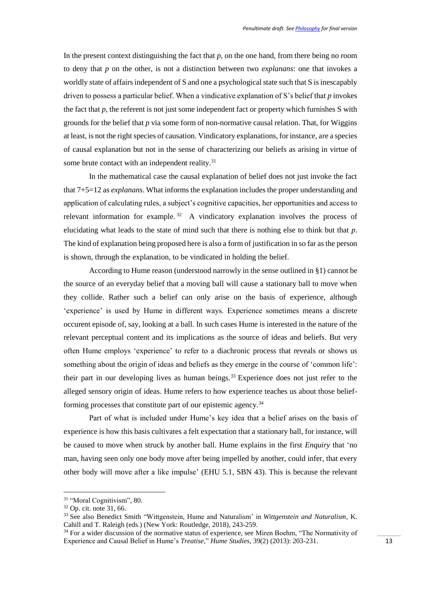In the present context distinguishing the fact that *p*, on the one hand, from there being no room to deny that *p* on the other, is not a distinction between two *explanans*: one that invokes a worldly state of affairs independent of S and one a psychological state such that S is inescapably driven to possess a particular belief. When a vindicative explanation of S's belief that *p* invokes the fact that *p*, the referent is not just some independent fact or property which furnishes S with grounds for the belief that *p* via some form of non-normative causal relation. That, for Wiggins at least, is not the right species of causation. Vindicatory explanations, for instance, are a species of causal explanation but not in the sense of characterizing our beliefs as arising in virtue of some brute contact with an independent reality.<sup>31</sup>

In the mathematical case the causal explanation of belief does not just invoke the fact that 7+5=12 as *explanans*. What informs the explanation includes the proper understanding and application of calculating rules, a subject's cognitive capacities, her opportunities and access to relevant information for example.<sup>32</sup> A vindicatory explanation involves the process of elucidating what leads to the state of mind such that there is nothing else to think but that *p*. The kind of explanation being proposed here is also a form of justification in so far as the person is shown, through the explanation, to be vindicated in holding the belief.

According to Hume reason (understood narrowly in the sense outlined in §1) cannot be the source of an everyday belief that a moving ball will cause a stationary ball to move when they collide. Rather such a belief can only arise on the basis of experience, although 'experience' is used by Hume in different ways. Experience sometimes means a discrete occurent episode of, say, looking at a ball. In such cases Hume is interested in the nature of the relevant perceptual content and its implications as the source of ideas and beliefs. But very often Hume employs 'experience' to refer to a diachronic process that reveals or shows us something about the origin of ideas and beliefs as they emerge in the course of 'common life': their part in our developing lives as human beings.<sup>33</sup> Experience does not just refer to the alleged sensory origin of ideas. Hume refers to how experience teaches us about those beliefforming processes that constitute part of our epistemic agency.<sup>34</sup>

Part of what is included under Hume's key idea that a belief arises on the basis of experience is how this basis cultivates a felt expectation that a stationary ball, for instance, will be caused to move when struck by another ball. Hume explains in the first *Enquiry* that 'no man, having seen only one body move after being impelled by another, could infer, that every other body will move after a like impulse' (EHU 5.1, SBN 43). This is because the relevant

<sup>31</sup> "Moral Cognitivism", 80.

<sup>32</sup> Op. cit. note 31, 66.

<sup>33</sup> See also Benedict Smith "Wittgenstein, Hume and Naturalism' in *Wittgenstein and Naturalism*, K. Cahill and T. Raleigh (eds.) (New York: Routledge, 2018), 243-259.

<sup>&</sup>lt;sup>34</sup> For a wider discussion of the normative status of experience, see Miren Boehm, "The Normativity of Experience and Causal Belief in Hume's *Treatise*," *Hume Studies*, 39(2) (2013): 203-231.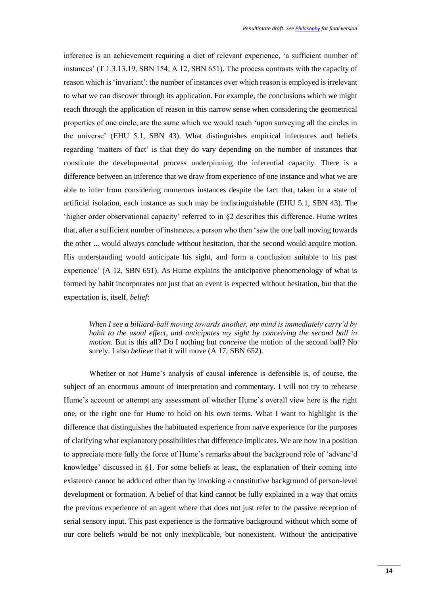inference is an achievement requiring a diet of relevant experience, 'a sufficient number of instances' (T 1.3.13.19, SBN 154; A 12, SBN 651). The process contrasts with the capacity of reason which is 'invariant': the number of instances over which reason is employed is irrelevant to what we can discover through its application. For example, the conclusions which we might reach through the application of reason in this narrow sense when considering the geometrical properties of one circle, are the same which we would reach 'upon surveying all the circles in the universe' (EHU 5.1, SBN 43). What distinguishes empirical inferences and beliefs regarding 'matters of fact' is that they do vary depending on the number of instances that constitute the developmental process underpinning the inferential capacity. There is a difference between an inference that we draw from experience of one instance and what we are able to infer from considering numerous instances despite the fact that, taken in a state of artificial isolation, each instance as such may be indistinguishable (EHU 5.1, SBN 43). The 'higher order observational capacity' referred to in §2 describes this difference. Hume writes that, after a sufficient number of instances, a person who then 'saw the one ball moving towards the other ... would always conclude without hesitation, that the second would acquire motion. His understanding would anticipate his sight, and form a conclusion suitable to his past experience' (A 12, SBN 651). As Hume explains the anticipative phenomenology of what is formed by habit incorporates not just that an event is expected without hesitation, but that the expectation is, itself, *belief*:

*When I see a billiard-ball moving towards another, my mind is immediately carry'd by habit to the usual effect, and anticipates my sight by conceiving the second ball in motion.* But is this all? Do I nothing but *conceive* the motion of the second ball? No surely. I also *believe* that it will move (A 17, SBN 652).

Whether or not Hume's analysis of causal inference is defensible is, of course, the subject of an enormous amount of interpretation and commentary. I will not try to rehearse Hume's account or attempt any assessment of whether Hume's overall view here is the right one, or the right one for Hume to hold on his own terms. What I want to highlight is the difference that distinguishes the habituated experience from naïve experience for the purposes of clarifying what explanatory possibilities that difference implicates. We are now in a position to appreciate more fully the force of Hume's remarks about the background role of 'advanc'd knowledge' discussed in §1. For some beliefs at least, the explanation of their coming into existence cannot be adduced other than by invoking a constitutive background of person-level development or formation. A belief of that kind cannot be fully explained in a way that omits the previous experience of an agent where that does not just refer to the passive reception of serial sensory input. This past experience is the formative background without which some of our core beliefs would be not only inexplicable, but nonexistent. Without the anticipative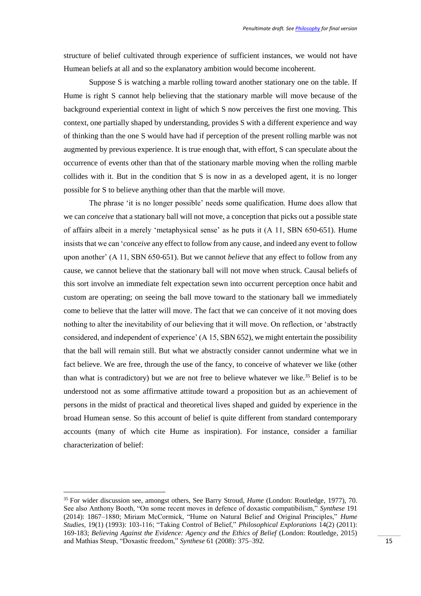structure of belief cultivated through experience of sufficient instances, we would not have Humean beliefs at all and so the explanatory ambition would become incoherent.

Suppose S is watching a marble rolling toward another stationary one on the table. If Hume is right S cannot help believing that the stationary marble will move because of the background experiential context in light of which S now perceives the first one moving. This context, one partially shaped by understanding, provides S with a different experience and way of thinking than the one S would have had if perception of the present rolling marble was not augmented by previous experience. It is true enough that, with effort, S can speculate about the occurrence of events other than that of the stationary marble moving when the rolling marble collides with it. But in the condition that S is now in as a developed agent, it is no longer possible for S to believe anything other than that the marble will move.

The phrase 'it is no longer possible' needs some qualification. Hume does allow that we can *conceive* that a stationary ball will not move, a conception that picks out a possible state of affairs albeit in a merely 'metaphysical sense' as he puts it (A 11, SBN 650-651). Hume insists that we can '*conceive* any effect to follow from any cause, and indeed any event to follow upon another' (A 11, SBN 650-651). But we cannot *believe* that any effect to follow from any cause, we cannot believe that the stationary ball will not move when struck. Causal beliefs of this sort involve an immediate felt expectation sewn into occurrent perception once habit and custom are operating; on seeing the ball move toward to the stationary ball we immediately come to believe that the latter will move. The fact that we can conceive of it not moving does nothing to alter the inevitability of our believing that it will move. On reflection, or 'abstractly considered, and independent of experience' (A 15, SBN 652), we might entertain the possibility that the ball will remain still. But what we abstractly consider cannot undermine what we in fact believe. We are free, through the use of the fancy, to conceive of whatever we like (other than what is contradictory) but we are not free to believe whatever we like.<sup>35</sup> Belief is to be understood not as some affirmative attitude toward a proposition but as an achievement of persons in the midst of practical and theoretical lives shaped and guided by experience in the broad Humean sense. So this account of belief is quite different from standard contemporary accounts (many of which cite Hume as inspiration). For instance, consider a familiar characterization of belief:

<sup>35</sup> For wider discussion see, amongst others, See Barry Stroud, *Hume* (London: Routledge, 1977), 70. See also Anthony Booth, "On some recent moves in defence of doxastic compatibilism," *Synthese* 191 (2014): 1867–1880; Miriam McCormick, "Hume on Natural Belief and Original Principles," *Hume Studies*, 19(1) (1993): 103-116; "Taking Control of Belief," *Philosophical Explorations* 14(2) (2011): 169-183; *Believing Against the Evidence: Agency and the Ethics of Belief* (London: Routledge, 2015) and Mathias Steup, "Doxastic freedom," *Synthese* 61 (2008): 375–392.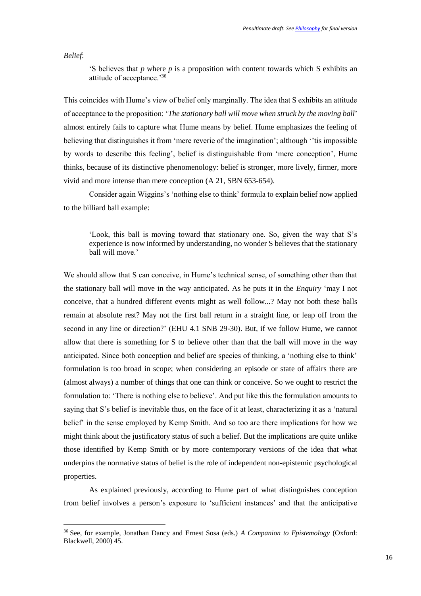*Belief*:

-

'S believes that *p* where *p* is a proposition with content towards which S exhibits an attitude of acceptance.'<sup>36</sup>

This coincides with Hume's view of belief only marginally. The idea that S exhibits an attitude of acceptance to the proposition: '*The stationary ball will move when struck by the moving ball*' almost entirely fails to capture what Hume means by belief. Hume emphasizes the feeling of believing that distinguishes it from 'mere reverie of the imagination'; although ''tis impossible by words to describe this feeling', belief is distinguishable from 'mere conception', Hume thinks, because of its distinctive phenomenology: belief is stronger, more lively, firmer, more vivid and more intense than mere conception (A 21, SBN 653-654).

Consider again Wiggins's 'nothing else to think' formula to explain belief now applied to the billiard ball example:

'Look, this ball is moving toward that stationary one. So, given the way that S's experience is now informed by understanding, no wonder S believes that the stationary ball will move.'

We should allow that S can conceive, in Hume's technical sense, of something other than that the stationary ball will move in the way anticipated. As he puts it in the *Enquiry* 'may I not conceive, that a hundred different events might as well follow...? May not both these balls remain at absolute rest? May not the first ball return in a straight line, or leap off from the second in any line or direction?' (EHU 4.1 SNB 29-30). But, if we follow Hume, we cannot allow that there is something for S to believe other than that the ball will move in the way anticipated. Since both conception and belief are species of thinking, a 'nothing else to think' formulation is too broad in scope; when considering an episode or state of affairs there are (almost always) a number of things that one can think or conceive. So we ought to restrict the formulation to: 'There is nothing else to believe'. And put like this the formulation amounts to saying that S's belief is inevitable thus, on the face of it at least, characterizing it as a 'natural belief' in the sense employed by Kemp Smith. And so too are there implications for how we might think about the justificatory status of such a belief. But the implications are quite unlike those identified by Kemp Smith or by more contemporary versions of the idea that what underpins the normative status of belief is the role of independent non-epistemic psychological properties.

As explained previously, according to Hume part of what distinguishes conception from belief involves a person's exposure to 'sufficient instances' and that the anticipative

<sup>36</sup> See, for example, Jonathan Dancy and Ernest Sosa (eds.) *A Companion to Epistemology* (Oxford: Blackwell, 2000) 45.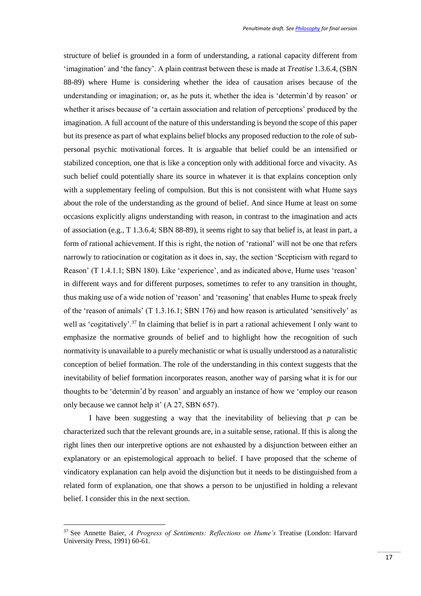structure of belief is grounded in a form of understanding, a rational capacity different from 'imagination' and 'the fancy'. A plain contrast between these is made at *Treatise* 1.3.6.4, (SBN 88-89) where Hume is considering whether the idea of causation arises because of the understanding or imagination; or, as he puts it, whether the idea is 'determin'd by reason' or whether it arises because of 'a certain association and relation of perceptions' produced by the imagination. A full account of the nature of this understanding is beyond the scope of this paper but its presence as part of what explains belief blocks any proposed reduction to the role of subpersonal psychic motivational forces. It is arguable that belief could be an intensified or stabilized conception, one that is like a conception only with additional force and vivacity. As such belief could potentially share its source in whatever it is that explains conception only with a supplementary feeling of compulsion. But this is not consistent with what Hume says about the role of the understanding as the ground of belief. And since Hume at least on some occasions explicitly aligns understanding with reason, in contrast to the imagination and acts of association (e.g., T 1.3.6.4; SBN 88-89), it seems right to say that belief is, at least in part, a form of rational achievement. If this is right, the notion of 'rational' will not be one that refers narrowly to ratiocination or cogitation as it does in, say, the section 'Scepticism with regard to Reason' (T 1.4.1.1; SBN 180). Like 'experience', and as indicated above, Hume uses 'reason' in different ways and for different purposes, sometimes to refer to any transition in thought, thus making use of a wide notion of 'reason' and 'reasoning' that enables Hume to speak freely of the 'reason of animals' (T 1.3.16.1; SBN 176) and how reason is articulated 'sensitively' as well as 'cogitatively'.<sup>37</sup> In claiming that belief is in part a rational achievement I only want to emphasize the normative grounds of belief and to highlight how the recognition of such normativity is unavailable to a purely mechanistic or what is usually understood as a naturalistic conception of belief formation. The role of the understanding in this context suggests that the inevitability of belief formation incorporates reason, another way of parsing what it is for our thoughts to be 'determin'd by reason' and arguably an instance of how we 'employ our reason only because we cannot help it' (A 27, SBN 657).

I have been suggesting a way that the inevitability of believing that *p* can be characterized such that the relevant grounds are, in a suitable sense, rational. If this is along the right lines then our interpretive options are not exhausted by a disjunction between either an explanatory or an epistemological approach to belief. I have proposed that the scheme of vindicatory explanation can help avoid the disjunction but it needs to be distinguished from a related form of explanation, one that shows a person to be unjustified in holding a relevant belief. I consider this in the next section.

-

<sup>37</sup> See Annette Baier, *A Progress of Sentiments: Reflections on Hume's* Treatise (London: Harvard University Press, 1991) 60-61.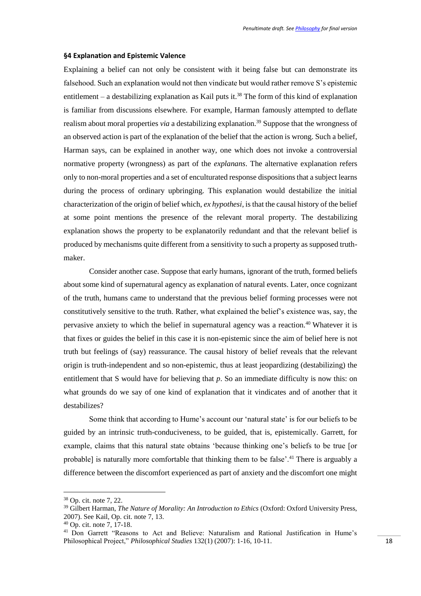#### **§4 Explanation and Epistemic Valence**

Explaining a belief can not only be consistent with it being false but can demonstrate its falsehood. Such an explanation would not then vindicate but would rather remove S's epistemic entitlement – a destabilizing explanation as Kail puts it.<sup>38</sup> The form of this kind of explanation is familiar from discussions elsewhere. For example, Harman famously attempted to deflate realism about moral properties *via* a destabilizing explanation.<sup>39</sup> Suppose that the wrongness of an observed action is part of the explanation of the belief that the action is wrong. Such a belief, Harman says, can be explained in another way, one which does not invoke a controversial normative property (wrongness) as part of the *explanans*. The alternative explanation refers only to non-moral properties and a set of enculturated response dispositions that a subject learns during the process of ordinary upbringing. This explanation would destabilize the initial characterization of the origin of belief which, *ex hypothesi*, is that the causal history of the belief at some point mentions the presence of the relevant moral property. The destabilizing explanation shows the property to be explanatorily redundant and that the relevant belief is produced by mechanisms quite different from a sensitivity to such a property as supposed truthmaker.

Consider another case. Suppose that early humans, ignorant of the truth, formed beliefs about some kind of supernatural agency as explanation of natural events. Later, once cognizant of the truth, humans came to understand that the previous belief forming processes were not constitutively sensitive to the truth. Rather, what explained the belief's existence was, say, the pervasive anxiety to which the belief in supernatural agency was a reaction.<sup>40</sup> Whatever it is that fixes or guides the belief in this case it is non-epistemic since the aim of belief here is not truth but feelings of (say) reassurance. The causal history of belief reveals that the relevant origin is truth-independent and so non-epistemic, thus at least jeopardizing (destabilizing) the entitlement that S would have for believing that *p*. So an immediate difficulty is now this: on what grounds do we say of one kind of explanation that it vindicates and of another that it destabilizes?

Some think that according to Hume's account our 'natural state' is for our beliefs to be guided by an intrinsic truth-conduciveness, to be guided, that is, epistemically. Garrett, for example, claims that this natural state obtains 'because thinking one's beliefs to be true [or probable] is naturally more comfortable that thinking them to be false'.<sup>41</sup> There is arguably a difference between the discomfort experienced as part of anxiety and the discomfort one might

<sup>38</sup> Op. cit. note 7, 22.

<sup>&</sup>lt;sup>39</sup> Gilbert Harman, *The Nature of Morality: An Introduction to Ethics* (Oxford: Oxford University Press, 2007). See Kail, Op. cit. note 7, 13.

<sup>40</sup> Op. cit. note 7, 17-18.

<sup>41</sup> Don Garrett "Reasons to Act and Believe: Naturalism and Rational Justification in Hume's Philosophical Project," *Philosophical Studies* 132(1) (2007): 1-16, 10-11.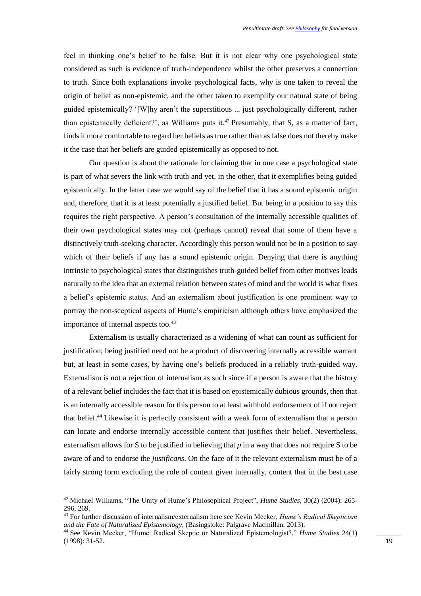feel in thinking one's belief to be false. But it is not clear why one psychological state considered as such is evidence of truth-independence whilst the other preserves a connection to truth. Since both explanations invoke psychological facts, why is one taken to reveal the origin of belief as non-epistemic, and the other taken to exemplify our natural state of being guided epistemically? '[W]hy aren't the superstitious ... just psychologically different, rather than epistemically deficient?', as Williams puts it.<sup>42</sup> Presumably, that S, as a matter of fact, finds it more comfortable to regard her beliefs as true rather than as false does not thereby make it the case that her beliefs are guided epistemically as opposed to not.

Our question is about the rationale for claiming that in one case a psychological state is part of what severs the link with truth and yet, in the other, that it exemplifies being guided epistemically. In the latter case we would say of the belief that it has a sound epistemic origin and, therefore, that it is at least potentially a justified belief. But being in a position to say this requires the right perspective. A person's consultation of the internally accessible qualities of their own psychological states may not (perhaps cannot) reveal that some of them have a distinctively truth-seeking character. Accordingly this person would not be in a position to say which of their beliefs if any has a sound epistemic origin. Denying that there is anything intrinsic to psychological states that distinguishes truth-guided belief from other motives leads naturally to the idea that an external relation between states of mind and the world is what fixes a belief's epistemic status. And an externalism about justification is one prominent way to portray the non-sceptical aspects of Hume's empiricism although others have emphasized the importance of internal aspects too.<sup>43</sup>

Externalism is usually characterized as a widening of what can count as sufficient for justification; being justified need not be a product of discovering internally accessible warrant but, at least in some cases, by having one's beliefs produced in a reliably truth-guided way. Externalism is not a rejection of internalism as such since if a person is aware that the history of a relevant belief includes the fact that it is based on epistemically dubious grounds, then that is an internally accessible reason for this person to at least withhold endorsement of if not reject that belief.<sup>44</sup> Likewise it is perfectly consistent with a weak form of externalism that a person can locate and endorse internally accessible content that justifies their belief. Nevertheless, externalism allows for S to be justified in believing that *p* in a way that does not require S to be aware of and to endorse the *justificans*. On the face of it the relevant externalism must be of a fairly strong form excluding the role of content given internally, content that in the best case

<sup>42</sup> Michael Williams, "The Unity of Hume's Philosophical Project", *Hume Studies*, 30(2) (2004): 265- 296, 269.

<sup>43</sup> For further discussion of internalism/externalism here see Kevin Meeker*, Hume's Radical Skepticism and the Fate of Naturalized Epistemology*, (Basingstoke: Palgrave Macmillan, 2013).

<sup>44</sup> See Kevin Meeker, "Hume: Radical Skeptic or Naturalized Epistemologist?," *Hume Studies* 24(1) (1998): 31-52.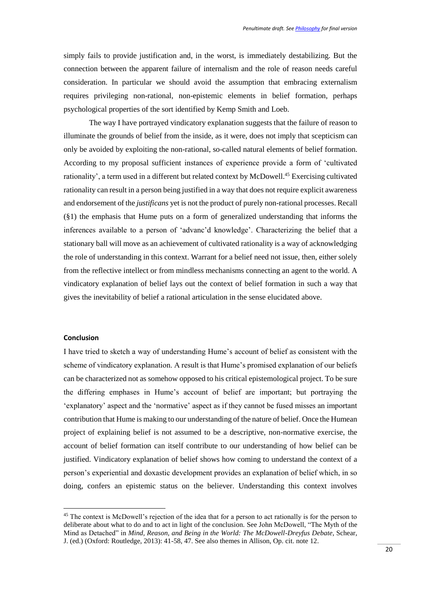simply fails to provide justification and, in the worst, is immediately destabilizing. But the connection between the apparent failure of internalism and the role of reason needs careful consideration. In particular we should avoid the assumption that embracing externalism requires privileging non-rational, non-epistemic elements in belief formation, perhaps psychological properties of the sort identified by Kemp Smith and Loeb.

The way I have portrayed vindicatory explanation suggests that the failure of reason to illuminate the grounds of belief from the inside, as it were, does not imply that scepticism can only be avoided by exploiting the non-rational, so-called natural elements of belief formation. According to my proposal sufficient instances of experience provide a form of 'cultivated rationality', a term used in a different but related context by McDowell.<sup>45</sup> Exercising cultivated rationality can result in a person being justified in a way that does not require explicit awareness and endorsement of the *justificans* yet is not the product of purely non-rational processes. Recall (§1) the emphasis that Hume puts on a form of generalized understanding that informs the inferences available to a person of 'advanc'd knowledge'. Characterizing the belief that a stationary ball will move as an achievement of cultivated rationality is a way of acknowledging the role of understanding in this context. Warrant for a belief need not issue, then, either solely from the reflective intellect or from mindless mechanisms connecting an agent to the world. A vindicatory explanation of belief lays out the context of belief formation in such a way that gives the inevitability of belief a rational articulation in the sense elucidated above.

### **Conclusion**

<u>.</u>

I have tried to sketch a way of understanding Hume's account of belief as consistent with the scheme of vindicatory explanation. A result is that Hume's promised explanation of our beliefs can be characterized not as somehow opposed to his critical epistemological project. To be sure the differing emphases in Hume's account of belief are important; but portraying the 'explanatory' aspect and the 'normative' aspect as if they cannot be fused misses an important contribution that Hume is making to our understanding of the nature of belief. Once the Humean project of explaining belief is not assumed to be a descriptive, non-normative exercise, the account of belief formation can itself contribute to our understanding of how belief can be justified. Vindicatory explanation of belief shows how coming to understand the context of a person's experiential and doxastic development provides an explanation of belief which, in so doing, confers an epistemic status on the believer. Understanding this context involves

<sup>&</sup>lt;sup>45</sup> The context is McDowell's rejection of the idea that for a person to act rationally is for the person to deliberate about what to do and to act in light of the conclusion. See John McDowell, "The Myth of the Mind as Detached" in *Mind, Reason, and Being in the World: The McDowell-Dreyfus Debate*, Schear, J. (ed.) (Oxford: Routledge, 2013): 41-58, 47. See also themes in Allison, Op. cit. note 12.